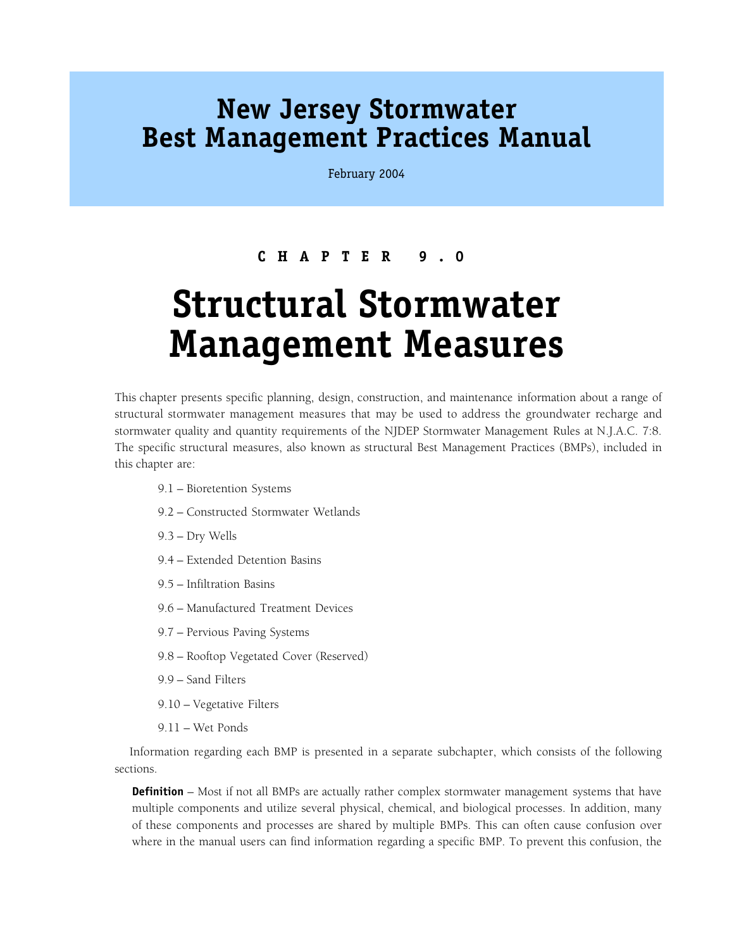## **New Jersey Stormwater Best Management Practices Manual**

February 2004

## **CHAPTER 9.0**

## **Structural Stormwater Management Measures**

This chapter presents specific planning, design, construction, and maintenance information about a range of structural stormwater management measures that may be used to address the groundwater recharge and stormwater quality and quantity requirements of the NJDEP Stormwater Management Rules at N.J.A.C. 7:8. The specific structural measures, also known as structural Best Management Practices (BMPs), included in this chapter are:

- 9.1 Bioretention Systems
- 9.2 Constructed Stormwater Wetlands
- 9.3 Dry Wells
- 9.4 Extended Detention Basins
- 9.5 Infiltration Basins
- 9.6 Manufactured Treatment Devices
- 9.7 Pervious Paving Systems
- 9.8 Rooftop Vegetated Cover (Reserved)
- 9.9 Sand Filters
- 9.10 Vegetative Filters
- 9.11 Wet Ponds

Information regarding each BMP is presented in a separate subchapter, which consists of the following sections.

**Definition** – Most if not all BMPs are actually rather complex stormwater management systems that have multiple components and utilize several physical, chemical, and biological processes. In addition, many of these components and processes are shared by multiple BMPs. This can often cause confusion over where in the manual users can find information regarding a specific BMP. To prevent this confusion, the